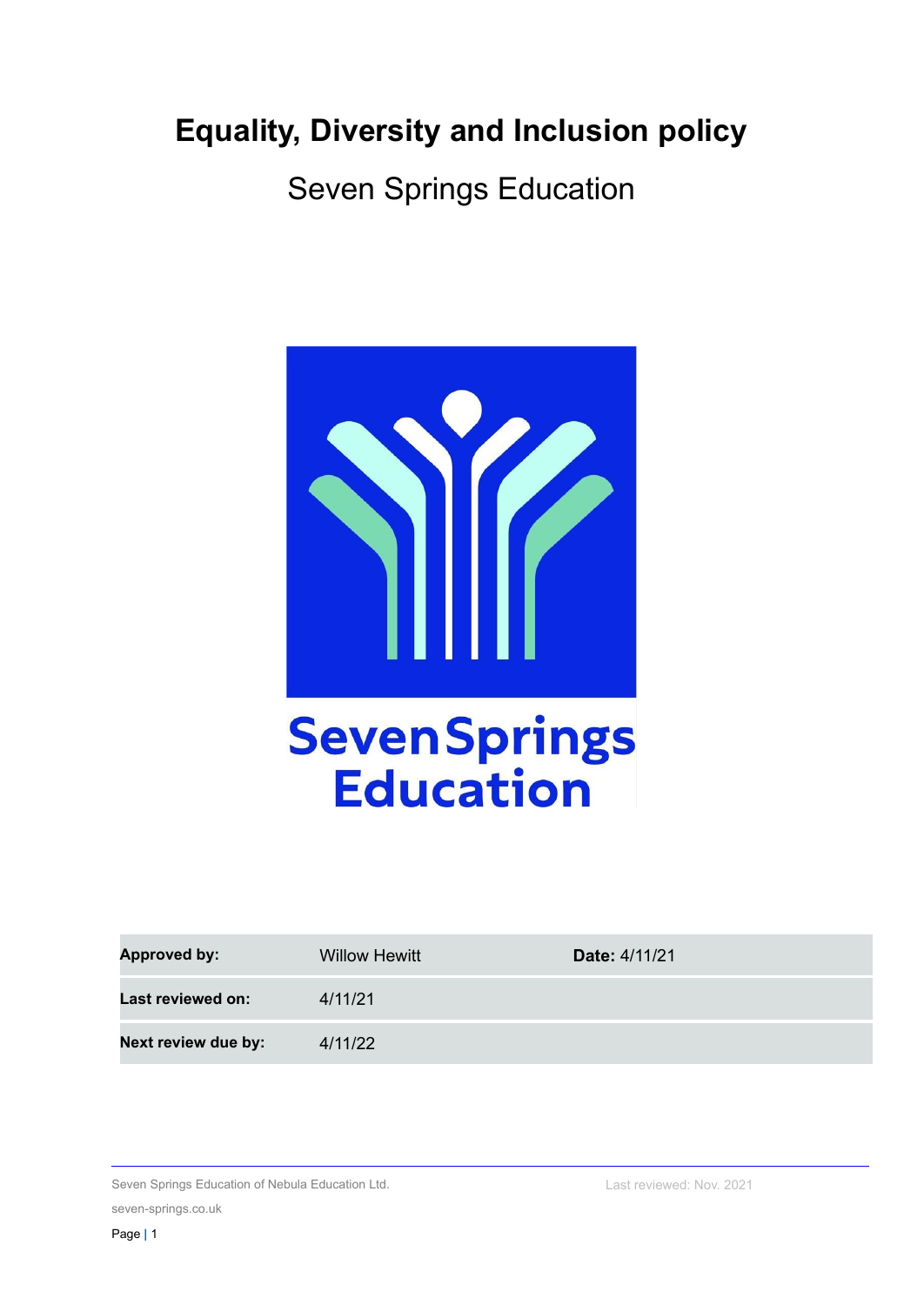# **Equality, Diversity and Inclusion policy**

Seven Springs Education



| <b>Approved by:</b> | <b>Willow Hewitt</b> | <b>Date: 4/11/21</b> |
|---------------------|----------------------|----------------------|
| Last reviewed on:   | 4/11/21              |                      |
| Next review due by: | 4/11/22              |                      |

Seven Springs Education of Nebula Education Ltd. seven-springs.co.uk

Last reviewed: Nov. 2021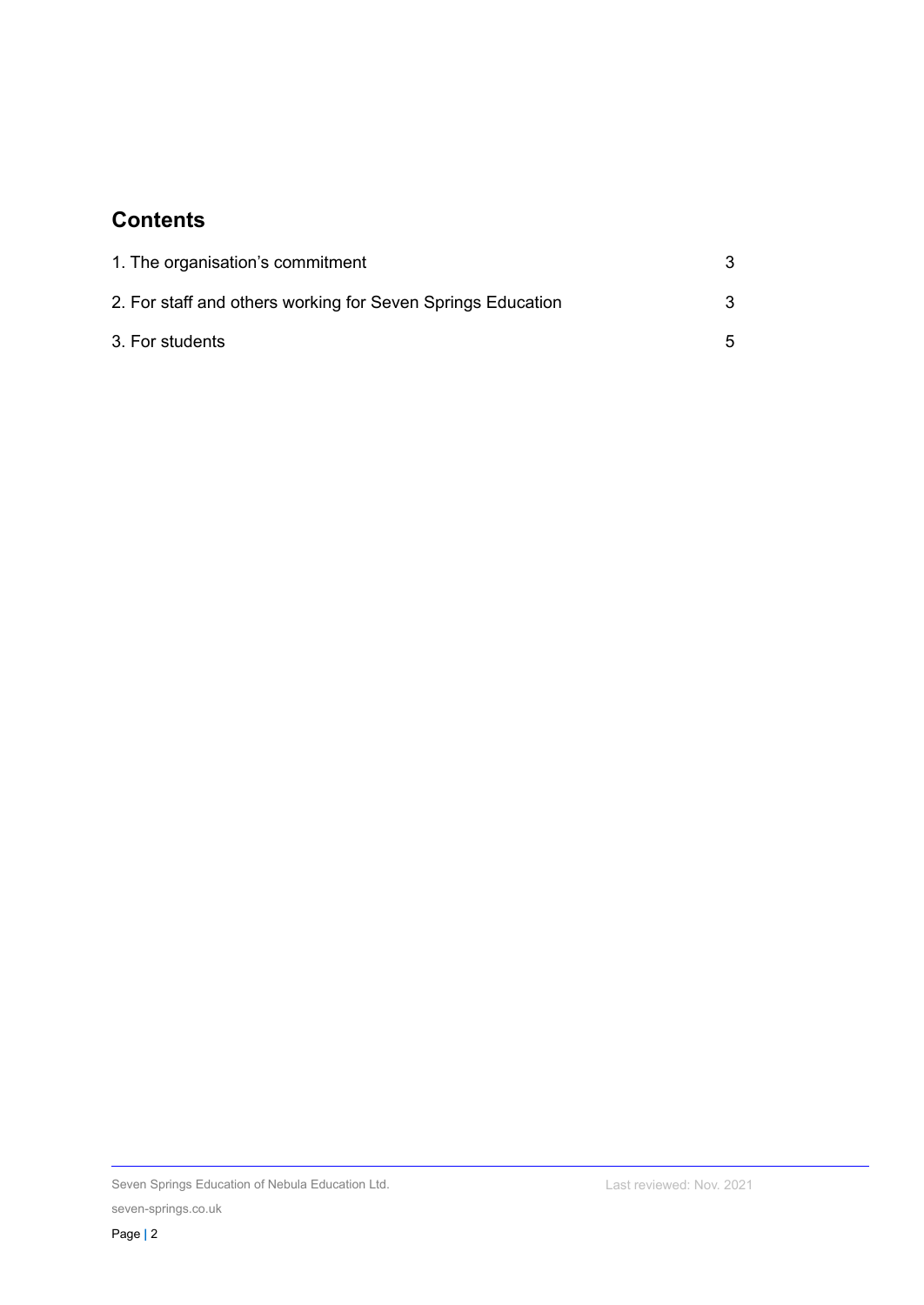# **Contents**

| 1. The organisation's commitment                            |   |
|-------------------------------------------------------------|---|
| 2. For staff and others working for Seven Springs Education | 3 |
| 3. For students                                             | 5 |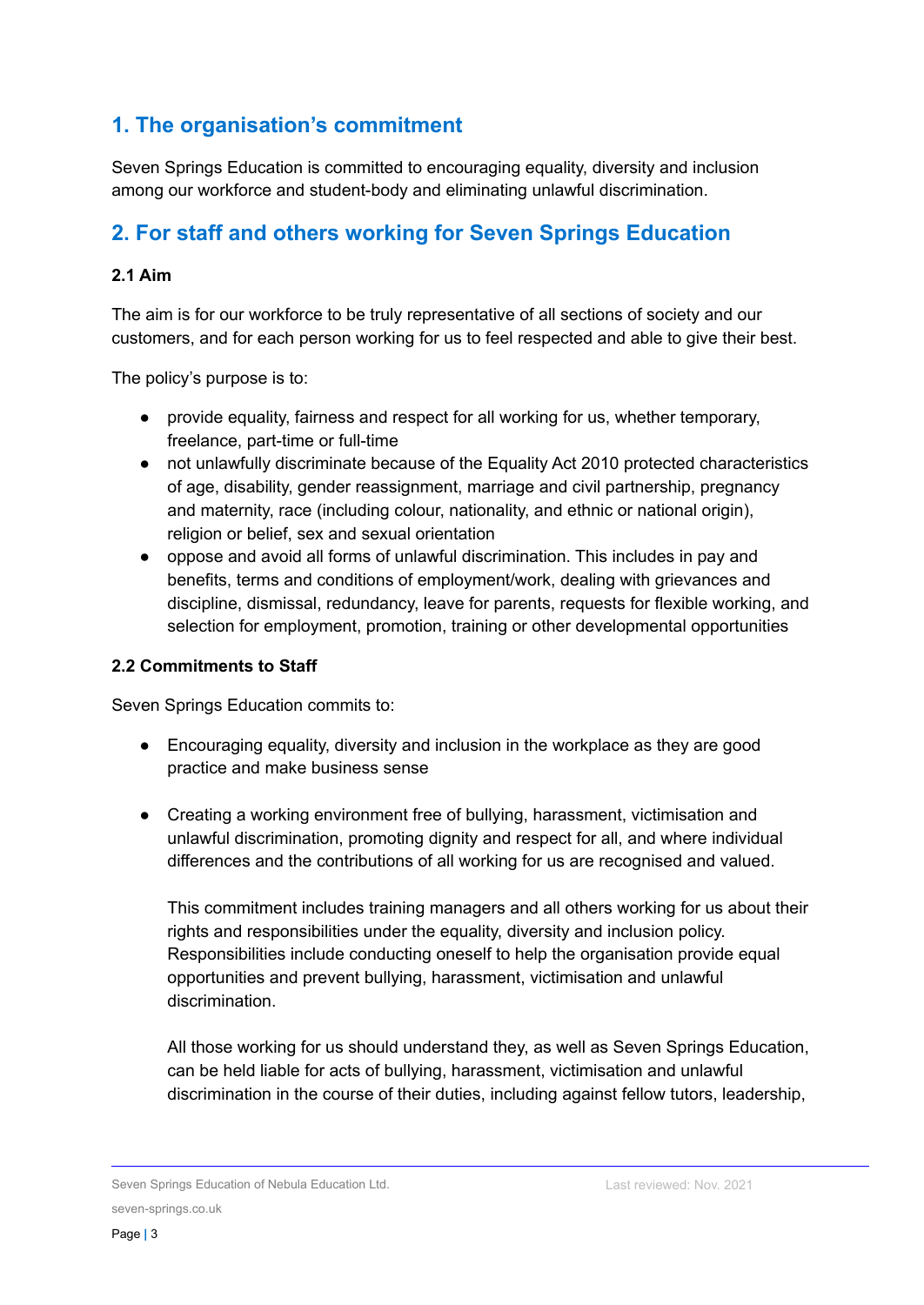### **1. The organisation's commitment**

Seven Springs Education is committed to encouraging equality, diversity and inclusion among our workforce and student-body and eliminating unlawful discrimination.

# **2. For staff and others working for Seven Springs Education**

#### **2.1 Aim**

The aim is for our workforce to be truly representative of all sections of society and our customers, and for each person working for us to feel respected and able to give their best.

The policy's purpose is to:

- provide equality, fairness and respect for all working for us, whether temporary, freelance, part-time or full-time
- not unlawfully discriminate because of the Equality Act 2010 protected characteristics of age, disability, gender reassignment, marriage and civil partnership, pregnancy and maternity, race (including colour, nationality, and ethnic or national origin), religion or belief, sex and sexual orientation
- oppose and avoid all forms of unlawful discrimination. This includes in pay and benefits, terms and conditions of employment/work, dealing with grievances and discipline, dismissal, redundancy, leave for parents, requests for flexible working, and selection for employment, promotion, training or other developmental opportunities

#### **2.2 Commitments to Staff**

Seven Springs Education commits to:

- Encouraging equality, diversity and inclusion in the workplace as they are good practice and make business sense
- Creating a working environment free of bullying, harassment, victimisation and unlawful discrimination, promoting dignity and respect for all, and where individual differences and the contributions of all working for us are recognised and valued.

This commitment includes training managers and all others working for us about their rights and responsibilities under the equality, diversity and inclusion policy. Responsibilities include conducting oneself to help the organisation provide equal opportunities and prevent bullying, harassment, victimisation and unlawful discrimination.

All those working for us should understand they, as well as Seven Springs Education, can be held liable for acts of bullying, harassment, victimisation and unlawful discrimination in the course of their duties, including against fellow tutors, leadership,

Seven Springs Education of Nebula Education Ltd. seven-springs.co.uk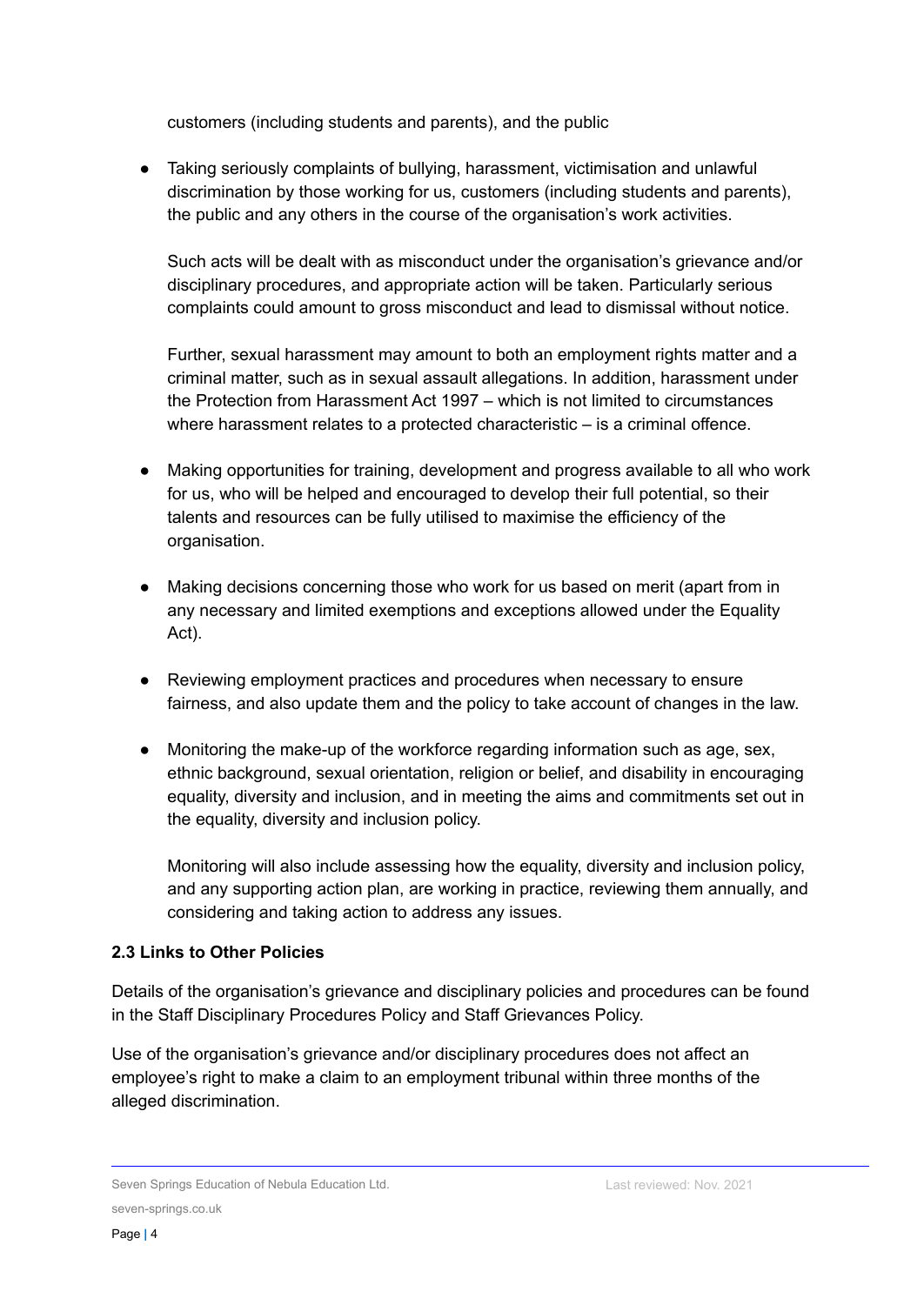customers (including students and parents), and the public

● Taking seriously complaints of bullying, harassment, victimisation and unlawful discrimination by those working for us, customers (including students and parents), the public and any others in the course of the organisation's work activities.

Such acts will be dealt with as misconduct under the organisation's grievance and/or disciplinary procedures, and appropriate action will be taken. Particularly serious complaints could amount to gross misconduct and lead to dismissal without notice.

Further, sexual harassment may amount to both an employment rights matter and a criminal matter, such as in sexual assault allegations. In addition, harassment under the Protection from Harassment Act 1997 – which is not limited to circumstances where harassment relates to a protected characteristic – is a criminal offence.

- Making opportunities for training, development and progress available to all who work for us, who will be helped and encouraged to develop their full potential, so their talents and resources can be fully utilised to maximise the efficiency of the organisation.
- Making decisions concerning those who work for us based on merit (apart from in any necessary and limited exemptions and exceptions allowed under the Equality Act).
- Reviewing employment practices and procedures when necessary to ensure fairness, and also update them and the policy to take account of changes in the law.
- Monitoring the make-up of the workforce regarding information such as age, sex, ethnic background, sexual orientation, religion or belief, and disability in encouraging equality, diversity and inclusion, and in meeting the aims and commitments set out in the equality, diversity and inclusion policy.

Monitoring will also include assessing how the equality, diversity and inclusion policy, and any supporting action plan, are working in practice, reviewing them annually, and considering and taking action to address any issues.

#### **2.3 Links to Other Policies**

Details of the organisation's grievance and disciplinary policies and procedures can be found in the Staff Disciplinary Procedures Policy and Staff Grievances Policy.

Use of the organisation's grievance and/or disciplinary procedures does not affect an employee's right to make a claim to an employment tribunal within three months of the alleged discrimination.

Seven Springs Education of Nebula Education Ltd. seven-springs.co.uk